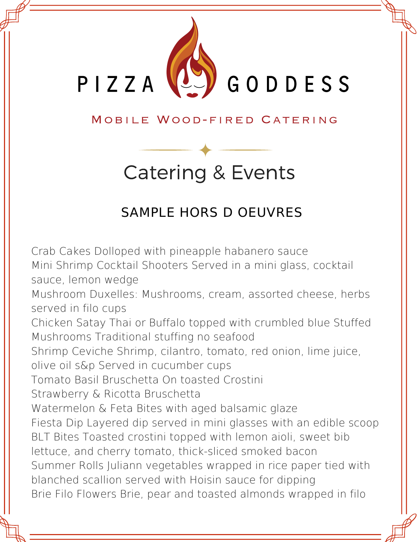

### MOBILE WOOD-FIRED CATERING

# Catering & Events

### SAMPLE HORS D OEUVRES

Crab Cakes Dolloped with pineapple habanero sauce Mini Shrimp Cocktail Shooters Served in a mini glass, cocktail sauce, lemon wedge Mushroom Duxelles: Mushrooms, cream, assorted cheese, herbs served in filo cups Chicken Satay Thai or Buffalo topped with crumbled blue Stuffed Mushrooms Traditional stuffing no seafood Shrimp Ceviche Shrimp, cilantro, tomato, red onion, lime juice, olive oil s&p Served in cucumber cups Tomato Basil Bruschetta On toasted Crostini Strawberry & Ricotta Bruschetta Watermelon & Feta Bites with aged balsamic glaze Fiesta Dip Layered dip served in mini glasses with an edible scoop BLT Bites Toasted crostini topped with lemon aioli, sweet bib lettuce, and cherry tomato, thick-sliced smoked bacon Summer Rolls Juliann vegetables wrapped in rice paper tied with blanched scallion served with Hoisin sauce for dipping Brie Filo Flowers Brie, pear and toasted almonds wrapped in filo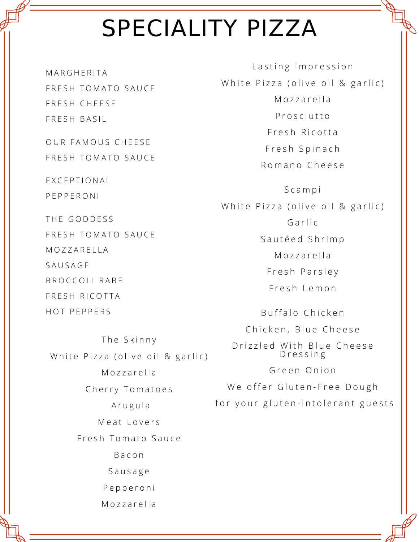# SPECIALITY PIZZA

**MARGHFRITA** FRESH TOMATO SAUCE FRFSH CHFFSF FRFSH BASIL

OUR FAMOUS CHEESE FRESH TOMATO SAUCE

E X C E P T I O N A L P E P P E R O N I

THE GODDESS FRESH TOMATO SAUCE **MOZZARELLA SAUSAGE** BROCCOLI RABE FRESH RICOTTA HOT PEPPERS

The Skinny White Pizza (olive oil & garlic) Mozzarella Cherry Tomatoes A r u g u l a Meat Lovers Fresh Tomato Sauce B a c o n S a u s a g e P e p p e r o n i Mozzarella

Lasting Impression White Pizza (olive oil & garlic) Mozzarella P r o s c i u t t o Fresh Ricotta Fresh Spinach Romano Cheese

S c a m p i White Pizza (olive oil & garlic) Garlic Sautéed Shrimp Mozzarella Fresh Parsley F r e s h L e m o n Buffalo Chicken Chicken, Blue Cheese

Drizzled With Blue Cheese D r e s s i n g

Green Onion

We offer Gluten-Free Dough

for your gluten-intolerant guests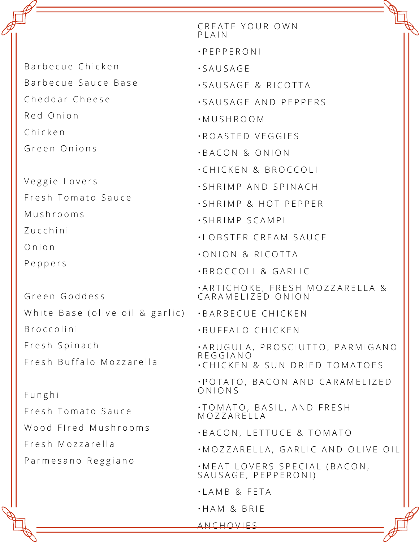Barbecue Chicken Barbecue Sauce Base Cheddar Cheese R e d O n i o n C h i c k e n

Green Onions

Veggie Lovers Fresh Tomato Sauce M u s h r o o m s Z u c c h i n i O n i o n P e p p e r s

Green Goddess B r o c c o l i n i Fresh Spinach Fresh Buffalo Mozzarella

F u n g h i Fresh Tomato Sauce Wood Fired Mushrooms Fresh Mozzarella Parmesano Reggiano

White Base (olive oil & garlic) •BARBECUE CHICKEN CREATE YOUR OWN P | A | N • P E P P E R O N I • S A U S A G E · SAUSAGE & RICOTTA • S A U S A G E A N D P E P P E R S • M U S H R O O M • R O A S T E D V E G G I ES • B A C O N & O N I O N • CHICKEN & BROCCOLI<br>• SHRIMP AND SPINACH • SHRIMP & HOT PEPPER • S H R IM P S C A M P I • L O B S T E R C R E A M S A U C E **• ONION & RICOTTA** · BROCCOLI & GARLIC •ARTICHOKE, FRESH MOZZARELLA & || CARAMELIZED ONION • B U F F A L O C H I C K E N · A R U G U L A, P R O S C I U T T O, P A R M I G A N O R E G G I A N O • CHICKEN & SUN DRIED TOMATOES • P O T A T O , B A C O N A N D C A R A M E L I Z E D O N I O N S • T O M A T O , B A S I L , A N D F R E S H M O Z Z A R E L L A • B A C O N , L E T T U C E & T O M A T O  $\cdot$ MOZZARELLA, GARLIC AND OLIVE OIL

• MEAT LOVERS SPECIAL (BACON,<br>SAUSAGE, PEPPERONI)

- L A M B & F E T A
- H A M & B R I E

A N C H O V I E S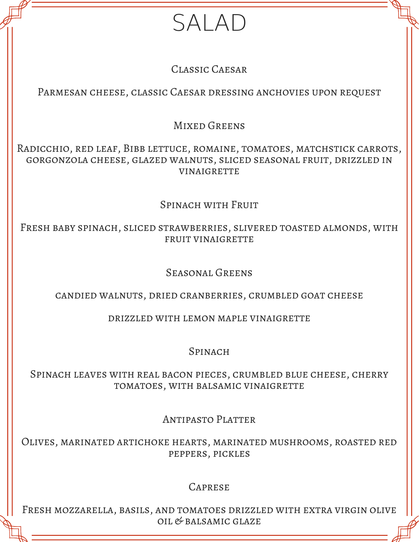## SALAD

#### Classic Caesar

#### Parmesan cheese, classic Caesar dressing anchovies upon request

#### MIXED GREENS

Radicchio, red leaf, Bibb lettuce, romaine, tomatoes, matchstick carrots, gorgonzola cheese, glazed walnuts, sliced seasonal fruit, drizzled in **VINAIGRETTE** 

#### SPINACH WITH FRUIT

Fresh baby spinach, sliced strawberries, slivered toasted almonds, with fruit vinaigrette

#### Seasonal Greens

#### candied walnuts, dried cranberries, crumbled goat cheese

#### drizzled with lemon maple vinaigrette

#### **SPINACH**

#### Spinach leaves with real bacon pieces, crumbled blue cheese, cherry tomatoes, with balsamic vinaigrette

Antipasto Platter

Olives, marinated artichoke hearts, marinated mushrooms, roasted red peppers, pickles

#### **CAPRESE**

Fresh mozzarella, basils, and tomatoes drizzled with extra virgin olive oil & balsamic glaze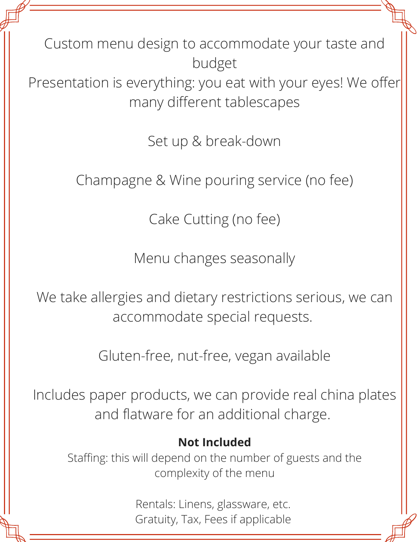Custom menu design to accommodate your taste and budget

Presentation is everything: you eat with your eyes! We offer many different tablescapes

Set up & break-down

Champagne & Wine pouring service (no fee)

Cake Cutting (no fee)

Menu changes seasonally

We take allergies and dietary restrictions serious, we can accommodate special requests.

Gluten-free, nut-free, vegan available

Includes paper products, we can provide real china plates and flatware for an additional charge.

### **Not Included**

Staffing: this will depend on the number of guests and the complexity of the menu

> Rentals: Linens, glassware, etc. Gratuity, Tax, Fees if applicable